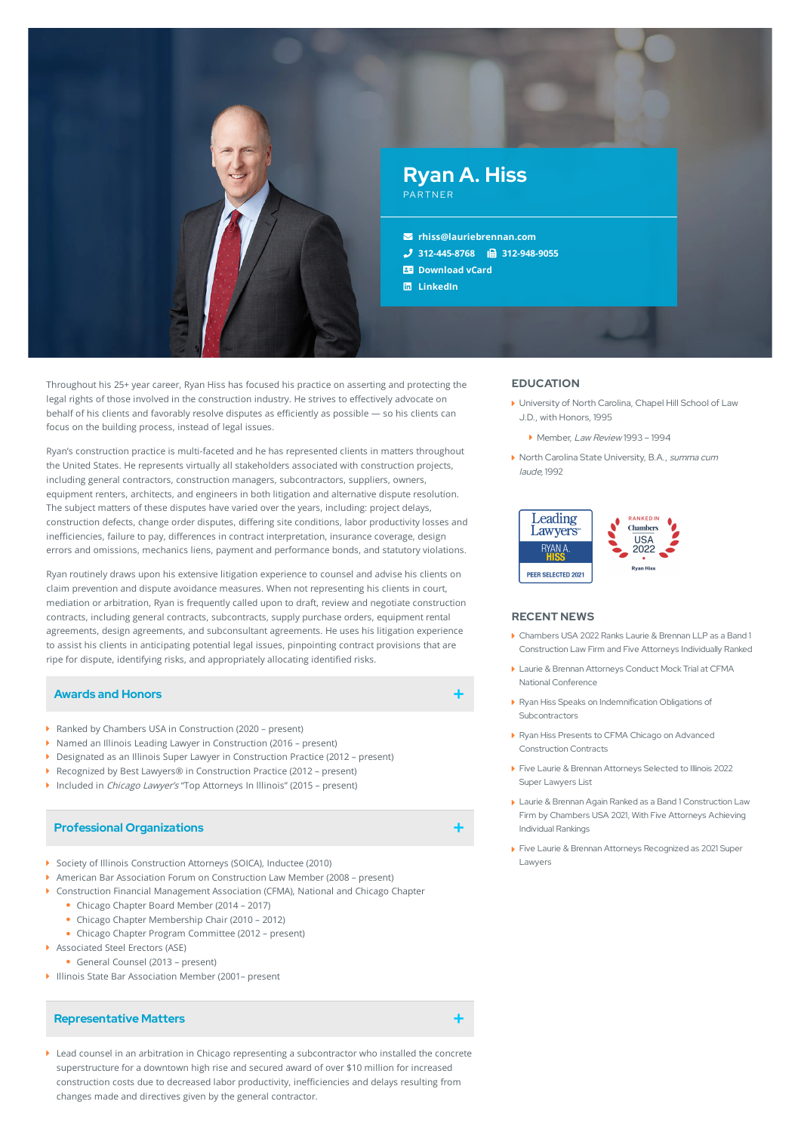

Throughout his 25+ year career, Ryan Hiss has focused his practice on asserting and protecting the legal rights of those involved in the construction industry. He strives to effectively advocate on behalf of his clients and favorably resolve disputes as efficiently as possible - so his clients can focus on the building process, instead of legal issues.

Ryan's construction practice is multi-faceted and he has represented clients in matters throughout the United States. He represents virtually all stakeholders associated with construction projects, including general contractors, construction managers, subcontractors, suppliers, owners, equipment renters, architects, and engineers in both litigation and alternative dispute resolution. The subject matters of these disputes have varied over the years, including: project delays, construction defects, change order disputes, differing site conditions, labor productivity losses and inefficiencies, failure to pay, differences in contract interpretation, insurance coverage, design errors and omissions, mechanics liens, payment and performance bonds, and statutory violations.

Ryan routinely draws upon his extensive litigation experience to counsel and advise his clients on claim prevention and dispute avoidance measures. When not representing his clients in court, mediation or arbitration, Ryan is frequently called upon to draft, review and negotiate construction contracts, including general contracts, subcontracts, supply purchase orders, equipment rental agreements, design agreements, and subconsultant agreements. He uses his litigation experience to assist his clients in anticipating potential legal issues, pinpointing contract provisions that are ripe for dispute, identifying risks, and appropriately allocating identified risks.

## **Awards and Honors**

- ▶ Ranked by Chambers USA in Construction (2020 present)
- ▶ Named an Illinois Leading Lawyer in Construction (2016 present)
- Designated as an Illinois Super Lawyer in Construction Practice (2012 present)
- ▶ Recognized by Best Lawyers® in Construction Practice (2012 present)
- ▶ Included in Chicago Lawyer's "Top Attorneys In Illinois" (2015 present)

## **Professional Organizations**

- Society of Illinois Construction Attorneys (SOICA), Inductee (2010)
- American Bar Association Forum on Construction Law Member (2008 present)
- Construction Financial Management Association (CFMA), National and Chicago Chapter
	- Chicago Chapter Board Member (2014 2017)
	- Chicago Chapter Membership Chair (2010 2012)
	- Chicago Chapter Program Committee (2012 present)
- Associated Steel Erectors (ASE)
- General Counsel (2013 present)
- Illinois State Bar Association Member (2001– present

## **Representative Matters**

Lead counsel in an arbitration in Chicago representing a subcontractor who installed the concrete superstructure for a downtown high rise and secured award of over \$10 million for increased construction costs due to decreased labor productivity, inefficiencies and delays resulting from changes made and directives given by the general contractor.

#### **EDUCATION**

- University of North Carolina, Chapel Hill School of Law J.D., with Honors, 1995
	- Member, Law Review 1993 1994
- ▶ North Carolina State University, B.A., *summa cum* laude, 1992



#### **RECENT NEWS**

- Chambers USA 2022 Ranks Laurie & Brennan LLP as a Band 1 [Construction](https://www.lauriebrennan.com/blog/chambers-usa-2022-ranks-laurie-brennan-llp-as-a-band-1-construction-law-firm-and-five-attorneys-individually-ranked/) Law Firm and Five Attorneys Individually Ranked
- Laurie & Brennan Attorneys Conduct Mock Trial at CFMA National [Conference](https://www.lauriebrennan.com/blog/laurie-brennan-attorneys-conduct-mock-trial-at-cfma-national-conference/)
- Ryan Hiss Speaks on Indemnification Obligations of [Subcontractors](https://www.lauriebrennan.com/blog/ryan-hiss-speaks-on-indemnification-obligations-of-subcontractors/)
- Ryan Hiss Presents to CFMA Chicago on Advanced [Construction](https://www.lauriebrennan.com/blog/ryan-hiss-presents-to-cfma-chicago-on-advanced-construction-contracts/) Contracts
- Five Laurie & Brennan [Attorneys](https://www.lauriebrennan.com/blog/five-laurie-brennan-attorneys-selected-to-illinois-2022-super-lawyers-list/) Selected to Illinois 2022 Super Lawyers List
- Laurie & Brennan Again Ranked as a Band 1 [Construction](https://www.lauriebrennan.com/blog/laurie-brennan-again-ranked-as-a-band-1-construction-law-firm-by-chambers-usa-2021-with-five-attorneys-achieving-individual-rankings/) Law Firm by Chambers USA 2021, With Five Attorneys Achieving Individual Rankings
- Five Laurie & Brennan Attorneys [Recognized](https://www.lauriebrennan.com/blog/congratulations-laurie-brennan-2021-super-lawyers/) as 2021 Super Lawyers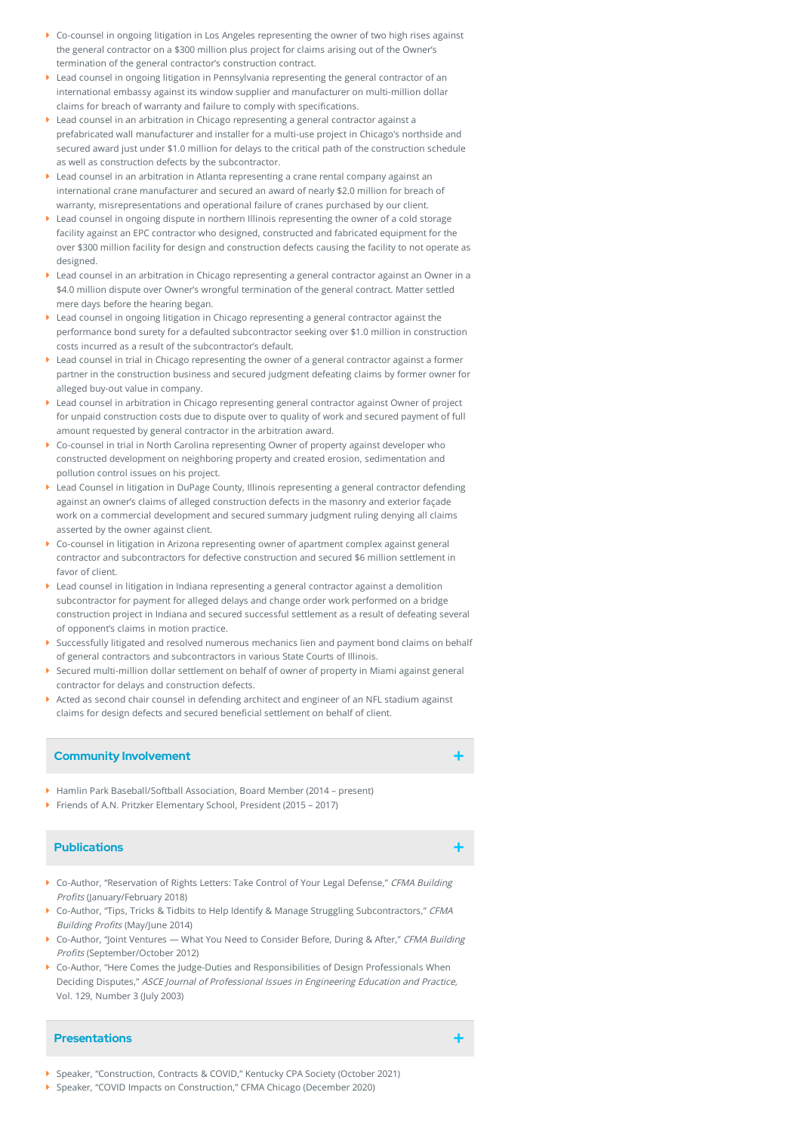- Co-counsel in ongoing litigation in Los Angeles representing the owner of two high rises against the general contractor on a \$300 million plus project for claims arising out of the Owner's termination of the general contractor's construction contract.
- Lead counsel in ongoing litigation in Pennsylvania representing the general contractor of an international embassy against its window supplier and manufacturer on multi-million dollar claims for breach of warranty and failure to comply with specifications.
- Lead counsel in an arbitration in Chicago representing a general contractor against a prefabricated wall manufacturer and installer for a multi-use project in Chicago's northside and secured award just under \$1.0 million for delays to the critical path of the construction schedule as well as construction defects by the subcontractor.
- Lead counsel in an arbitration in Atlanta representing a crane rental company against an international crane manufacturer and secured an award of nearly \$2.0 million for breach of warranty, misrepresentations and operational failure of cranes purchased by our client.
- Lead counsel in ongoing dispute in northern Illinois representing the owner of a cold storage facility against an EPC contractor who designed, constructed and fabricated equipment for the over \$300 million facility for design and construction defects causing the facility to not operate as designed.
- Lead counsel in an arbitration in Chicago representing a general contractor against an Owner in a \$4.0 million dispute over Owner's wrongful termination of the general contract. Matter settled mere days before the hearing began.
- Lead counsel in ongoing litigation in Chicago representing a general contractor against the performance bond surety for a defaulted subcontractor seeking over \$1.0 million in construction costs incurred as a result of the subcontractor's default.
- Lead counsel in trial in Chicago representing the owner of a general contractor against a former partner in the construction business and secured judgment defeating claims by former owner for alleged buy-out value in company.
- Lead counsel in arbitration in Chicago representing general contractor against Owner of project for unpaid construction costs due to dispute over to quality of work and secured payment of full amount requested by general contractor in the arbitration award.
- Co-counsel in trial in North Carolina representing Owner of property against developer who constructed development on neighboring property and created erosion, sedimentation and pollution control issues on his project.
- ▶ Lead Counsel in litigation in DuPage County, Illinois representing a general contractor defending against an owner's claims of alleged construction defects in the masonry and exterior façade work on a commercial development and secured summary judgment ruling denying all claims asserted by the owner against client.
- Co-counsel in litigation in Arizona representing owner of apartment complex against general contractor and subcontractors for defective construction and secured \$6 million settlement in favor of client.
- Lead counsel in litigation in Indiana representing a general contractor against a demolition subcontractor for payment for alleged delays and change order work performed on a bridge construction project in Indiana and secured successful settlement as a result of defeating several of opponent's claims in motion practice.
- Successfully litigated and resolved numerous mechanics lien and payment bond claims on behalf of general contractors and subcontractors in various State Courts of Illinois.
- Secured multi-million dollar settlement on behalf of owner of property in Miami against general contractor for delays and construction defects.
- Acted as second chair counsel in defending architect and engineer of an NFL stadium against claims for design defects and secured beneficial settlement on behalf of client.

## **Community Involvement**

- Hamlin Park Baseball/Softball Association, Board Member (2014 present)
- Friends of A.N. Pritzker Elementary School, President (2015 2017)

# **Publications**

- Go-Author, "Reservation of Rights Letters: Take Control of Your Legal Defense," CFMA Building Profits (January/February 2018)
- ▶ Co-Author, "Tips, Tricks & Tidbits to Help Identify & Manage Struggling Subcontractors," CFMA Building Profits (May/June 2014)
- ▶ Co-Author, "Joint Ventures What You Need to Consider Before, During & After," CFMA Building Profits (September/October 2012)
- Co-Author, "Here Comes the Judge-Duties and Responsibilities of Design Professionals When Deciding Disputes," ASCE Journal of Professional Issues in Engineering Education and Practice, Vol. 129, Number 3 (July 2003)

## **Presentations**

Speaker, "Construction, Contracts & COVID," Kentucky CPA Society (October 2021)

Speaker, "COVID Impacts on Construction," CFMA Chicago (December 2020)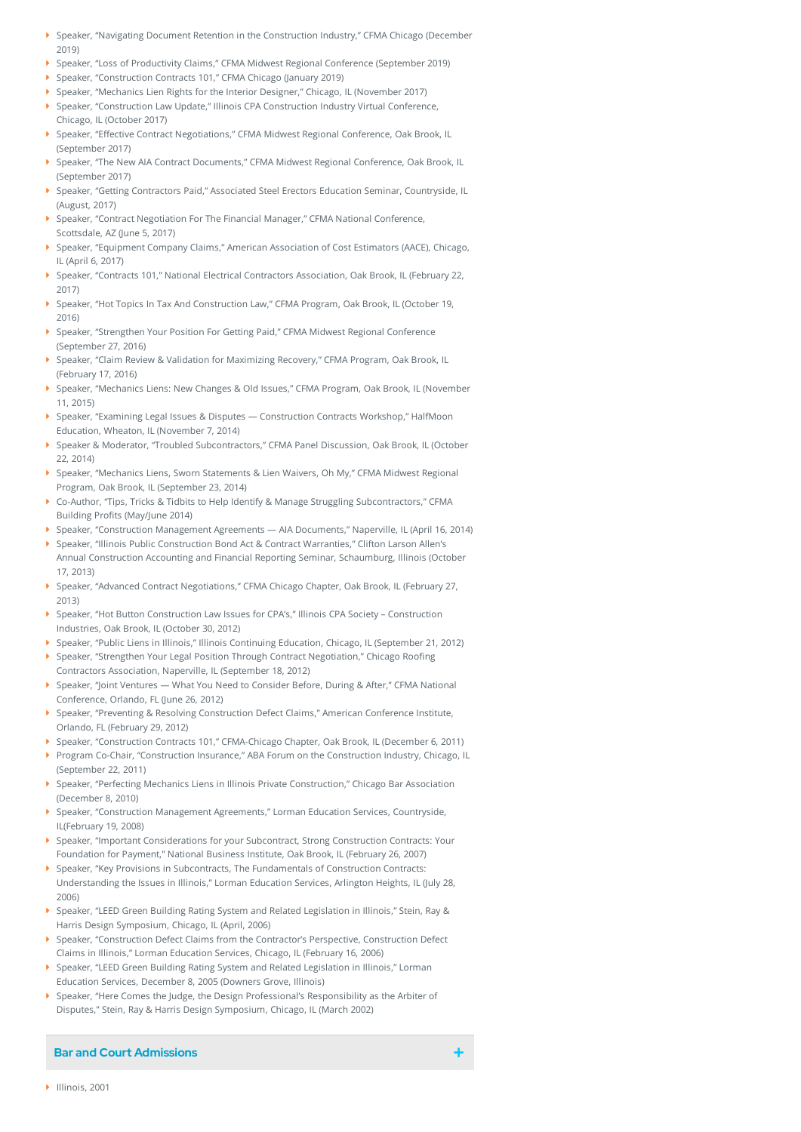- Speaker, "Navigating Document Retention in the Construction Industry," CFMA Chicago (December 2019)
- Speaker, "Loss of Productivity Claims," CFMA Midwest Regional Conference (September 2019)
- Speaker, "Construction Contracts 101," CFMA Chicago (January 2019)
- Speaker, "Mechanics Lien Rights for the Interior Designer," Chicago, IL (November 2017)
- Speaker, "Construction Law Update," Illinois CPA Construction Industry Virtual Conference, Chicago, IL (October 2017)
- **S**peaker, "Effective Contract Negotiations," CFMA Midwest Regional Conference, Oak Brook, IL (September 2017)
- Speaker, "The New AIA Contract Documents," CFMA Midwest Regional Conference, Oak Brook, IL (September 2017)
- Speaker, "Getting Contractors Paid," Associated Steel Erectors Education Seminar, Countryside, IL (August, 2017)
- ▶ Speaker, "Contract Negotiation For The Financial Manager," CFMA National Conference, Scottsdale, AZ (June 5, 2017)
- Speaker, "Equipment Company Claims," American Association of Cost Estimators (AACE), Chicago, IL (April 6, 2017)
- Speaker, "Contracts 101," National Electrical Contractors Association, Oak Brook, IL (February 22, 2017)
- Speaker, "Hot Topics In Tax And Construction Law," CFMA Program, Oak Brook, IL (October 19, 2016)
- ▶ Speaker, "Strengthen Your Position For Getting Paid," CFMA Midwest Regional Conference (September 27, 2016)
- Speaker, "Claim Review & Validation for Maximizing Recovery," CFMA Program, Oak Brook, IL (February 17, 2016)
- Speaker, "Mechanics Liens: New Changes & Old Issues," CFMA Program, Oak Brook, IL (November 11, 2015)
- Speaker, "Examining Legal Issues & Disputes Construction Contracts Workshop," HalfMoon Education, Wheaton, IL (November 7, 2014)
- Speaker & Moderator, "Troubled Subcontractors," CFMA Panel Discussion, Oak Brook, IL (October 22, 2014)
- Speaker, "Mechanics Liens, Sworn Statements & Lien Waivers, Oh My," CFMA Midwest Regional Program, Oak Brook, IL (September 23, 2014)
- Co-Author, "Tips, Tricks & Tidbits to Help Identify & Manage Struggling Subcontractors," CFMA Building Profits (May/June 2014)
- Speaker, "Construction Management Agreements AIA Documents," Naperville, IL (April 16, 2014)
- Speaker, "Illinois Public Construction Bond Act & Contract Warranties," Clifton Larson Allen's Annual Construction Accounting and Financial Reporting Seminar, Schaumburg, Illinois (October 17, 2013)
- Speaker, "Advanced Contract Negotiations," CFMA Chicago Chapter, Oak Brook, IL (February 27, 2013)
- Speaker, "Hot Button Construction Law Issues for CPA's," Illinois CPA Society Construction Industries, Oak Brook, IL (October 30, 2012)
- Speaker, "Public Liens in Illinois," Illinois Continuing Education, Chicago, IL (September 21, 2012)
- ▶ Speaker, "Strengthen Your Legal Position Through Contract Negotiation," Chicago Roofing Contractors Association, Naperville, IL (September 18, 2012)
- Speaker, "Joint Ventures What You Need to Consider Before, During & After," CFMA National Conference, Orlando, FL (June 26, 2012)
- Speaker, "Preventing & Resolving Construction Defect Claims," American Conference Institute, Orlando, FL (February 29, 2012)
- Speaker, "Construction Contracts 101," CFMA-Chicago Chapter, Oak Brook, IL (December 6, 2011)
- Program Co-Chair, "Construction Insurance," ABA Forum on the Construction Industry, Chicago, IL (September 22, 2011)
- Speaker, "Perfecting Mechanics Liens in Illinois Private Construction," Chicago Bar Association (December 8, 2010)
- Speaker, "Construction Management Agreements," Lorman Education Services, Countryside, IL(February 19, 2008)
- Speaker, "Important Considerations for your Subcontract, Strong Construction Contracts: Your Foundation for Payment," National Business Institute, Oak Brook, IL (February 26, 2007)
- Speaker, "Key Provisions in Subcontracts, The Fundamentals of Construction Contracts: Understanding the Issues in Illinois," Lorman Education Services, Arlington Heights, IL (July 28, 2006)
- Speaker, "LEED Green Building Rating System and Related Legislation in Illinois," Stein, Ray & Harris Design Symposium, Chicago, IL (April, 2006)
- Speaker, "Construction Defect Claims from the Contractor's Perspective, Construction Defect Claims in Illinois," Lorman Education Services, Chicago, IL (February 16, 2006)
- Speaker, "LEED Green Building Rating System and Related Legislation in Illinois," Lorman Education Services, December 8, 2005 (Downers Grove, Illinois)
- Speaker, "Here Comes the Judge, the Design Professional's Responsibility as the Arbiter of Disputes," Stein, Ray & Harris Design Symposium, Chicago, IL (March 2002)

## **Bar and Court Admissions**